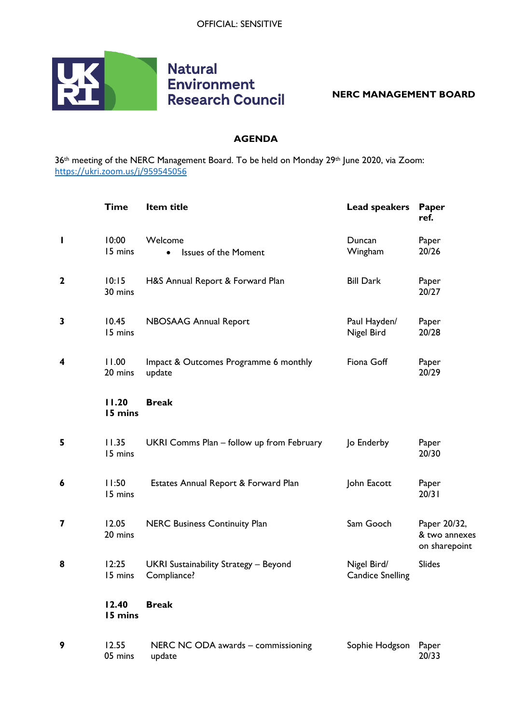

## **Natural Environment Research Council**

**NERC MANAGEMENT BOARD**

## **AGENDA**

36<sup>th</sup> meeting of the NERC Management Board. To be held on Monday 29<sup>th</sup> June 2020, via Zoom: <https://ukri.zoom.us/j/959545056>

|              | <b>Time</b>      | Item title                                           | <b>Lead speakers</b>                   | Paper<br>ref.                                  |
|--------------|------------------|------------------------------------------------------|----------------------------------------|------------------------------------------------|
| ı            | 10:00<br>15 mins | Welcome<br><b>Issues of the Moment</b><br>$\bullet$  | Duncan<br>Wingham                      | Paper<br>20/26                                 |
| $\mathbf{2}$ | 10:15<br>30 mins | H&S Annual Report & Forward Plan                     | <b>Bill Dark</b>                       | Paper<br>20/27                                 |
| 3            | 10.45<br>15 mins | NBOSAAG Annual Report                                | Paul Hayden/<br>Nigel Bird             | Paper<br>20/28                                 |
| 4            | 11.00<br>20 mins | Impact & Outcomes Programme 6 monthly<br>update      | Fiona Goff                             | Paper<br>20/29                                 |
|              | 11.20<br>15 mins | <b>Break</b>                                         |                                        |                                                |
| 5            | 11.35<br>15 mins | UKRI Comms Plan - follow up from February            | Jo Enderby                             | Paper<br>20/30                                 |
| 6            | 11:50<br>15 mins | Estates Annual Report & Forward Plan                 | John Eacott                            | Paper<br>20/31                                 |
| 7            | 12.05<br>20 mins | <b>NERC Business Continuity Plan</b>                 | Sam Gooch                              | Paper 20/32,<br>& two annexes<br>on sharepoint |
| 8            | 12:25<br>15 mins | UKRI Sustainability Strategy - Beyond<br>Compliance? | Nigel Bird/<br><b>Candice Snelling</b> | <b>Slides</b>                                  |
|              | 12.40<br>15 mins | <b>Break</b>                                         |                                        |                                                |
| 9            | 12.55<br>05 mins | NERC NC ODA awards - commissioning<br>update         | Sophie Hodgson                         | Paper<br>20/33                                 |